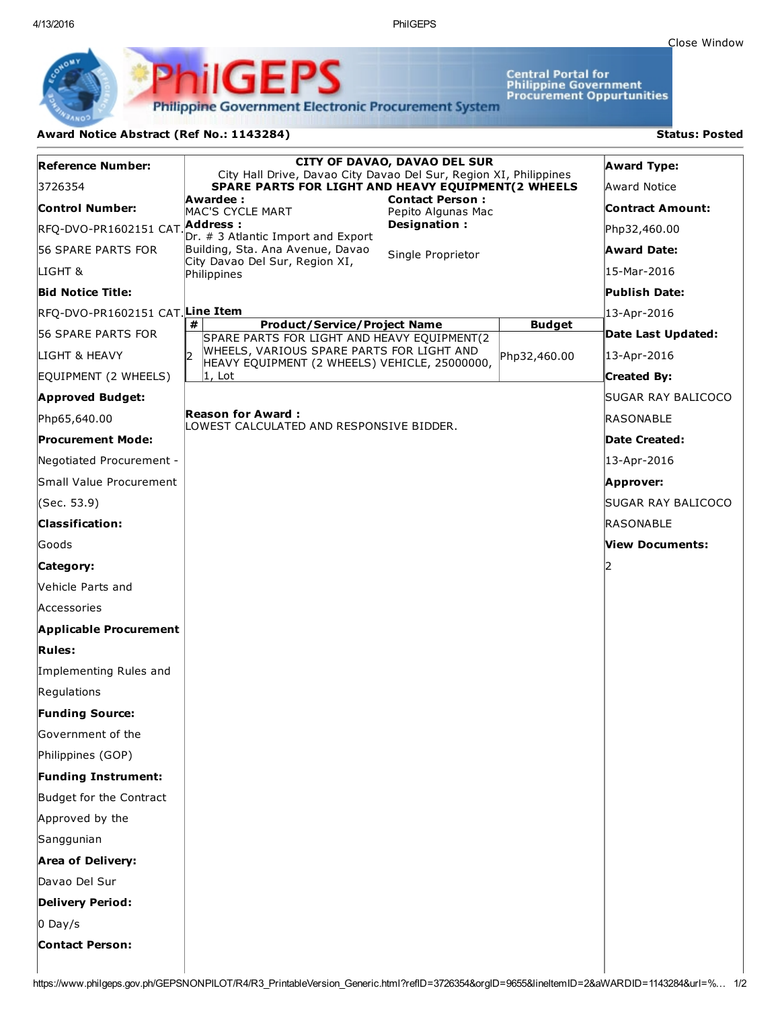Central Portal for<br>Philippine Government<br>Procurement Oppurtunities

**Philippine Government Electronic Procurement System** 

PS

## Award Notice Abstract (Ref No.: 1143284) Status: Posted

PhilGEI

| <b>Reference Number:</b>                      | CITY OF DAVAO, DAVAO DEL SUR<br>City Hall Drive, Davao City Davao Del Sur, Region XI, Philippines |  |                         | <b>Award Type:</b> |
|-----------------------------------------------|---------------------------------------------------------------------------------------------------|--|-------------------------|--------------------|
| 3726354                                       | SPARE PARTS FOR LIGHT AND HEAVY EQUIPMENT(2 WHEELS                                                |  |                         | Award Notice       |
| Control Number:                               | <b>Contact Person:</b><br>Awardee :<br>MAC'S CYCLE MART<br>Pepito Algunas Mac                     |  | <b>Contract Amount:</b> |                    |
| RFQ-DVO-PR1602151 CAT.                        | Designation:<br>Address :<br>Dr. # 3 Atlantic Import and Export                                   |  |                         | Php32,460.00       |
| <b>56 SPARE PARTS FOR</b>                     | Building, Sta. Ana Avenue, Davao<br>Single Proprietor                                             |  |                         | Award Date:        |
| LIGHT &                                       | City Davao Del Sur, Region XI,<br>Philippines                                                     |  |                         | 15-Mar-2016        |
| <b>Bid Notice Title:</b>                      |                                                                                                   |  |                         | Publish Date:      |
| RFQ-DVO-PR1602151 CAT <mark>Line Ite</mark> m |                                                                                                   |  |                         | 13-Apr-2016        |
| <b>56 SPARE PARTS FOR</b>                     | <b>Product/Service/Project Name</b><br>#<br>SPARE PARTS FOR LIGHT AND HEAVY EQUIPMENT(2           |  | <b>Budget</b>           | Date Last Updated: |
| LIGHT & HEAVY                                 | WHEELS, VARIOUS SPARE PARTS FOR LIGHT AND<br>l2<br>HEAVY EQUIPMENT (2 WHEELS) VEHICLE, 25000000,  |  | Php32,460.00            | 13-Apr-2016        |
| EQUIPMENT (2 WHEELS)                          | $ 1,$ Lot                                                                                         |  |                         | Created By:        |
| <b>Approved Budget:</b>                       |                                                                                                   |  |                         | SUGAR RAY BALICOCO |
| Php65,640.00                                  | Reason for Award :<br>LOWEST CALCULATED AND RESPONSIVE BIDDER.                                    |  |                         | RASONABLE          |
| Procurement Mode:                             |                                                                                                   |  |                         | Date Created:      |
| Negotiated Procurement -                      |                                                                                                   |  |                         | 13-Apr-2016        |
| Small Value Procurement                       |                                                                                                   |  |                         | Approver:          |
| (Sec. 53.9)                                   |                                                                                                   |  |                         | SUGAR RAY BALICOCO |
| <b>Classification:</b>                        |                                                                                                   |  |                         | RASONABLE          |
| Goods                                         |                                                                                                   |  |                         | View Documents:    |
| Category:                                     |                                                                                                   |  |                         |                    |
| <b>Nehicle Parts and</b>                      |                                                                                                   |  |                         |                    |
| Accessories                                   |                                                                                                   |  |                         |                    |
| <b>Applicable Procurement</b>                 |                                                                                                   |  |                         |                    |
| <b>Rules:</b>                                 |                                                                                                   |  |                         |                    |
| Implementing Rules and                        |                                                                                                   |  |                         |                    |
| Regulations                                   |                                                                                                   |  |                         |                    |
| <b>Funding Source:</b>                        |                                                                                                   |  |                         |                    |
| Government of the                             |                                                                                                   |  |                         |                    |
| Philippines (GOP)                             |                                                                                                   |  |                         |                    |
| <b>Funding Instrument:</b>                    |                                                                                                   |  |                         |                    |
| Budget for the Contract                       |                                                                                                   |  |                         |                    |
| Approved by the                               |                                                                                                   |  |                         |                    |
| Sanggunian                                    |                                                                                                   |  |                         |                    |
| <b>Area of Delivery:</b>                      |                                                                                                   |  |                         |                    |
| Davao Del Sur                                 |                                                                                                   |  |                         |                    |
| <b>Delivery Period:</b>                       |                                                                                                   |  |                         |                    |
| $0$ Day/s                                     |                                                                                                   |  |                         |                    |
| <b>Contact Person:</b>                        |                                                                                                   |  |                         |                    |
|                                               |                                                                                                   |  |                         |                    |

https://www.philgeps.gov.ph/GEPSNONPILOT/R4/R3\_PrintableVersion\_Generic.html?refID=3726354&orgID=9655&lineItemID=2&aWARDID=1143284&url=%… 1/2